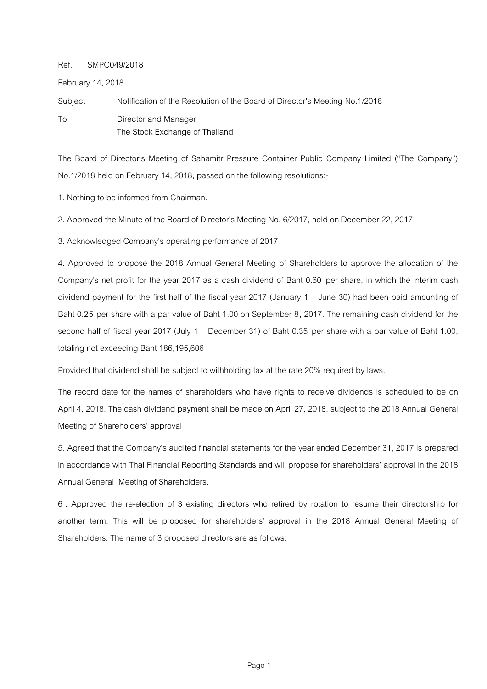## Ref. SMPC049/2018

February 14, 2018

Subject Notification of the Resolution of the Board of Director's Meeting No.1/2018 To Director and Manager The Stock Exchange of Thailand

The Board of Director's Meeting of Sahamitr Pressure Container Public Company Limited ("The Company") No.1/2018 held on February 14, 2018, passed on the following resolutions:-

1. Nothing to be informed from Chairman.

2. Approved the Minute of the Board of Director's Meeting No. 6/2017, held on December 22, 2017.

3. Acknowledged Company's operating performance of 2017

4. Approved to propose the 2018 Annual General Meeting of Shareholders to approve the allocation of the Company's net profit for the year 2017 as a cash dividend of Baht 0.60 per share, in which the interim cash dividend payment for the first half of the fiscal year 2017 (January 1 – June 30) had been paid amounting of Baht 0.25 per share with a par value of Baht 1.00 on September 8, 2017. The remaining cash dividend for the second half of fiscal year 2017 (July 1 – December 31) of Baht 0.35 per share with a par value of Baht 1.00, totaling not exceeding Baht 186,195,606

Provided that dividend shall be subject to withholding tax at the rate 20% required by laws.

The record date for the names of shareholders who have rights to receive dividends is scheduled to be on April 4, 2018. The cash dividend payment shall be made on April 27, 2018, subject to the 2018 Annual General Meeting of Shareholders' approval

5. Agreed that the Company's audited financial statements for the year ended December 31, 2017 is prepared in accordance with Thai Financial Reporting Standards and will propose for shareholders' approval in the 2018 Annual General Meeting of Shareholders.

6 . Approved the re-election of 3 existing directors who retired by rotation to resume their directorship for another term. This will be proposed for shareholders' approval in the 2018 Annual General Meeting of Shareholders. The name of 3 proposed directors are as follows: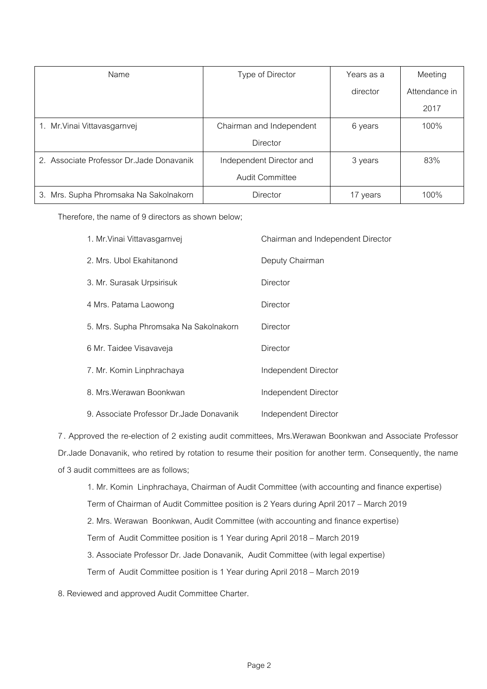| Name                                      | Type of Director         | Years as a | Meeting       |
|-------------------------------------------|--------------------------|------------|---------------|
|                                           |                          | director   | Attendance in |
|                                           |                          |            | 2017          |
| 1. Mr. Vinai Vittavasgarnvej              | Chairman and Independent | 6 years    | 100%          |
|                                           | Director                 |            |               |
| 2. Associate Professor Dr. Jade Donavanik | Independent Director and | 3 years    | 83%           |
|                                           | <b>Audit Committee</b>   |            |               |
| 3. Mrs. Supha Phromsaka Na Sakolnakorn    | <b>Director</b>          | 17 years   | 100%          |

Therefore, the name of 9 directors as shown below;

| 1. Mr. Vinai Vittavasgarnvej              | Chairman and Independent Director |
|-------------------------------------------|-----------------------------------|
| 2. Mrs. Ubol Ekahitanond                  | Deputy Chairman                   |
| 3. Mr. Surasak Urpsirisuk                 | Director                          |
| 4 Mrs. Patama Laowong                     | Director                          |
| 5. Mrs. Supha Phromsaka Na Sakolnakorn    | Director                          |
| 6 Mr. Taidee Visavaveja                   | Director                          |
| 7. Mr. Komin Linphrachaya                 | Independent Director              |
| 8. Mrs. Werawan Boonkwan                  | Independent Director              |
| 9. Associate Professor Dr. Jade Donavanik | Independent Director              |

7 . Approved the re-election of 2 existing audit committees, Mrs.Werawan Boonkwan and Associate Professor Dr.Jade Donavanik, who retired by rotation to resume their position for another term. Consequently, the name of 3 audit committees are as follows;

1. Mr. Komin Linphrachaya, Chairman of Audit Committee (with accounting and finance expertise) Term of Chairman of Audit Committee position is 2 Years during April 2017 – March 2019 2. Mrs. Werawan Boonkwan, Audit Committee (with accounting and finance expertise) Term of Audit Committee position is 1 Year during April 2018 – March 2019 3. Associate Professor Dr. Jade Donavanik, Audit Committee (with legal expertise) Term of Audit Committee position is 1 Year during April 2018 – March 2019

8. Reviewed and approved Audit Committee Charter.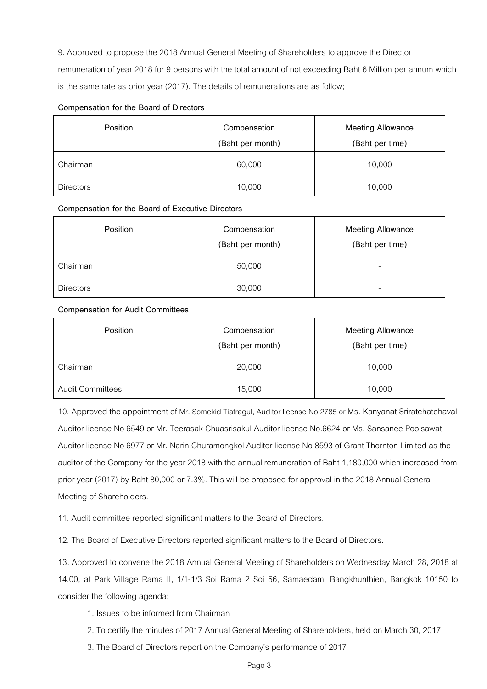9. Approved to propose the 2018 Annual General Meeting of Shareholders to approve the Director

remuneration of year 2018 for 9 persons with the total amount of not exceeding Baht 6 Million per annum which is the same rate as prior year (2017). The details of remunerations are as follow;

## **Compensation for the Board of Directors**

| Position         | Compensation<br>(Baht per month) | <b>Meeting Allowance</b><br>(Baht per time) |
|------------------|----------------------------------|---------------------------------------------|
| Chairman         | 60,000                           | 10,000                                      |
| <b>Directors</b> | 10,000                           | 10,000                                      |

## **Compensation for the Board of Executive Directors**

| Position         | Compensation<br>(Baht per month) | <b>Meeting Allowance</b><br>(Baht per time) |
|------------------|----------------------------------|---------------------------------------------|
| Chairman         | 50,000                           | -                                           |
| <b>Directors</b> | 30,000                           | -                                           |

## **Compensation for Audit Committees**

| <b>Position</b>         | Compensation<br>(Baht per month) | <b>Meeting Allowance</b><br>(Baht per time) |
|-------------------------|----------------------------------|---------------------------------------------|
| Chairman                | 20,000                           | 10,000                                      |
| <b>Audit Committees</b> | 15,000                           | 10,000                                      |

10. Approved the appointment of Mr. Somckid Tiatragul, Auditor license No 2785 or Ms. Kanyanat Sriratchatchaval Auditor license No 6549 or Mr. Teerasak Chuasrisakul Auditor license No.6624 or Ms. Sansanee Poolsawat Auditor license No 6977 or Mr. Narin Churamongkol Auditor license No 8593 of Grant Thornton Limited as the auditor of the Company for the year 2018 with the annual remuneration of Baht 1,180,000 which increased from prior year (2017) by Baht 80,000 or 7.3%. This will be proposed for approval in the 2018 Annual General Meeting of Shareholders.

11. Audit committee reported significant matters to the Board of Directors.

12. The Board of Executive Directors reported significant matters to the Board of Directors.

13. Approved to convene the 2018 Annual General Meeting of Shareholders on Wednesday March 28, 2018 at 14.00, at Park Village Rama II, 1/1-1/3 Soi Rama 2 Soi 56, Samaedam, Bangkhunthien, Bangkok 10150 to consider the following agenda:

- 1. Issues to be informed from Chairman
- 2. To certify the minutes of 2017 Annual General Meeting of Shareholders, held on March 30, 2017
- 3. The Board of Directors report on the Company's performance of 2017